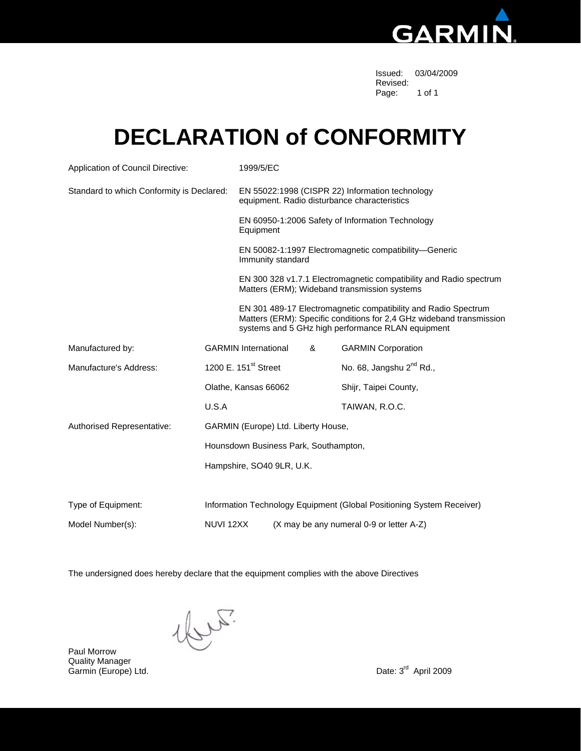

Issued: 03/04/2009 Revised: The contract of the contract of the contract of the contract of the contract of the contract of the contract of the contract of the contract of the contract of the contract of the contract of the contract of the c Page: 1 of 1

### **DECLARATION of CONFORMITY**

| Application of Council Directive:         |                                                                                                                                                                                             | 1999/5/EC                                                                                                          |                                                               |   |                                          |  |  |  |
|-------------------------------------------|---------------------------------------------------------------------------------------------------------------------------------------------------------------------------------------------|--------------------------------------------------------------------------------------------------------------------|---------------------------------------------------------------|---|------------------------------------------|--|--|--|
| Standard to which Conformity is Declared: |                                                                                                                                                                                             | EN 55022:1998 (CISPR 22) Information technology<br>equipment. Radio disturbance characteristics                    |                                                               |   |                                          |  |  |  |
|                                           |                                                                                                                                                                                             |                                                                                                                    | EN 60950-1:2006 Safety of Information Technology<br>Equipment |   |                                          |  |  |  |
|                                           |                                                                                                                                                                                             | EN 50082-1:1997 Electromagnetic compatibility-Generic<br>Immunity standard                                         |                                                               |   |                                          |  |  |  |
|                                           |                                                                                                                                                                                             | EN 300 328 v1.7.1 Electromagnetic compatibility and Radio spectrum<br>Matters (ERM); Wideband transmission systems |                                                               |   |                                          |  |  |  |
|                                           | EN 301 489-17 Electromagnetic compatibility and Radio Spectrum<br>Matters (ERM): Specific conditions for 2,4 GHz wideband transmission<br>systems and 5 GHz high performance RLAN equipment |                                                                                                                    |                                                               |   |                                          |  |  |  |
| Manufactured by:                          |                                                                                                                                                                                             | <b>GARMIN International</b>                                                                                        |                                                               | & | <b>GARMIN Corporation</b>                |  |  |  |
| Manufacture's Address:                    |                                                                                                                                                                                             | 1200 E. 151 <sup>st</sup> Street                                                                                   |                                                               |   | No. 68, Jangshu 2 <sup>nd</sup> Rd.,     |  |  |  |
|                                           | Olathe, Kansas 66062                                                                                                                                                                        |                                                                                                                    |                                                               |   | Shijr, Taipei County,                    |  |  |  |
|                                           | U.S.A                                                                                                                                                                                       |                                                                                                                    |                                                               |   | TAIWAN, R.O.C.                           |  |  |  |
| Authorised Representative:                |                                                                                                                                                                                             | GARMIN (Europe) Ltd. Liberty House,                                                                                |                                                               |   |                                          |  |  |  |
|                                           | Hounsdown Business Park, Southampton,                                                                                                                                                       |                                                                                                                    |                                                               |   |                                          |  |  |  |
|                                           |                                                                                                                                                                                             | Hampshire, SO40 9LR, U.K.                                                                                          |                                                               |   |                                          |  |  |  |
| Type of Equipment:                        | Information Technology Equipment (Global Positioning System Receiver)                                                                                                                       |                                                                                                                    |                                                               |   |                                          |  |  |  |
| Model Number(s):                          | NUVI 12XX                                                                                                                                                                                   |                                                                                                                    |                                                               |   | (X may be any numeral 0-9 or letter A-Z) |  |  |  |

The undersigned does hereby declare that the equipment complies with the above Directives

 $\text{c}^{\text{th}}$ 

Paul Morrow Quality Manager Garmin (Europe) Ltd. **Date: 3<sup>rd</sup> April 2009**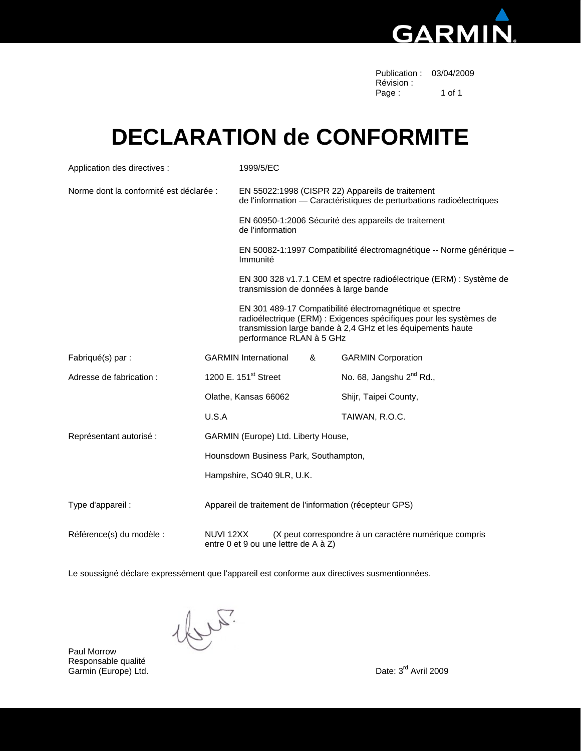

| Publication: 03/04/2009 |        |
|-------------------------|--------|
| Révision:               |        |
| Page:                   | 1 of 1 |

### **DECLARATION de CONFORMITE**

| Application des directives :            |                                                                                                            | 1999/5/EC                                                                                                                                                                                                                 |   |                                      |  |  |  |
|-----------------------------------------|------------------------------------------------------------------------------------------------------------|---------------------------------------------------------------------------------------------------------------------------------------------------------------------------------------------------------------------------|---|--------------------------------------|--|--|--|
| Norme dont la conformité est déclarée : |                                                                                                            | EN 55022:1998 (CISPR 22) Appareils de traitement<br>de l'information - Caractéristiques de perturbations radioélectriques                                                                                                 |   |                                      |  |  |  |
|                                         |                                                                                                            | EN 60950-1:2006 Sécurité des appareils de traitement<br>de l'information                                                                                                                                                  |   |                                      |  |  |  |
|                                         |                                                                                                            | EN 50082-1:1997 Compatibilité électromagnétique -- Norme générique -<br>Immunité                                                                                                                                          |   |                                      |  |  |  |
|                                         |                                                                                                            | EN 300 328 v1.7.1 CEM et spectre radioélectrique (ERM) : Système de<br>transmission de données à large bande                                                                                                              |   |                                      |  |  |  |
|                                         |                                                                                                            | EN 301 489-17 Compatibilité électromagnétique et spectre<br>radioélectrique (ERM) : Exigences spécifiques pour les systèmes de<br>transmission large bande à 2,4 GHz et les équipements haute<br>performance RLAN à 5 GHz |   |                                      |  |  |  |
| Fabriqué(s) par :                       |                                                                                                            | <b>GARMIN International</b>                                                                                                                                                                                               | & | <b>GARMIN Corporation</b>            |  |  |  |
| Adresse de fabrication :                |                                                                                                            | 1200 E. 151 <sup>st</sup> Street                                                                                                                                                                                          |   | No. 68, Jangshu 2 <sup>nd</sup> Rd., |  |  |  |
|                                         |                                                                                                            | Olathe, Kansas 66062                                                                                                                                                                                                      |   | Shijr, Taipei County,                |  |  |  |
|                                         | U.S.A                                                                                                      |                                                                                                                                                                                                                           |   | TAIWAN, R.O.C.                       |  |  |  |
| Représentant autorisé :                 | GARMIN (Europe) Ltd. Liberty House,                                                                        |                                                                                                                                                                                                                           |   |                                      |  |  |  |
|                                         | Hounsdown Business Park, Southampton,                                                                      |                                                                                                                                                                                                                           |   |                                      |  |  |  |
|                                         | Hampshire, SO40 9LR, U.K.                                                                                  |                                                                                                                                                                                                                           |   |                                      |  |  |  |
| Type d'appareil :                       | Appareil de traitement de l'information (récepteur GPS)                                                    |                                                                                                                                                                                                                           |   |                                      |  |  |  |
| Référence(s) du modèle :                | (X peut correspondre à un caractère numérique compris<br>NUVI 12XX<br>entre 0 et 9 ou une lettre de A à Z) |                                                                                                                                                                                                                           |   |                                      |  |  |  |

Le soussigné déclare expressément que l'appareil est conforme aux directives susmentionnées.

1brs.

Paul Morrow Responsable qualité Garmin (Europe) Ltd. **Carmin (Europe) Ltd.** Date: 3<sup>rd</sup> Avril 2009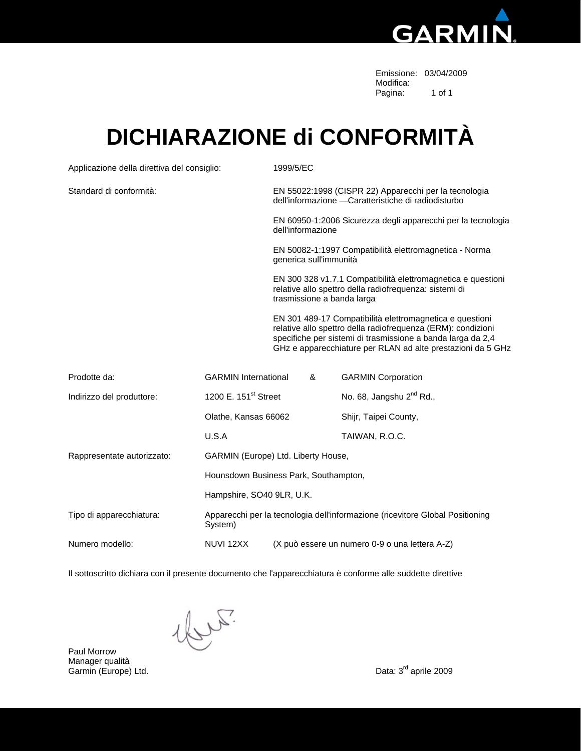

 Emissione: 03/04/2009 Modifica:<br>Pagina: Pagina: 1 of 1

### **DICHIARAZIONE di CONFORMITÀ**

| Applicazione della direttiva del consiglio: |                                                                                          | 1999/5/EC                                                                                                                                                                                                                                              |                                                                                   |                                      |  |  |  |  |
|---------------------------------------------|------------------------------------------------------------------------------------------|--------------------------------------------------------------------------------------------------------------------------------------------------------------------------------------------------------------------------------------------------------|-----------------------------------------------------------------------------------|--------------------------------------|--|--|--|--|
| Standard di conformità:                     |                                                                                          | EN 55022:1998 (CISPR 22) Apparecchi per la tecnologia<br>dell'informazione - Caratteristiche di radiodisturbo                                                                                                                                          |                                                                                   |                                      |  |  |  |  |
|                                             |                                                                                          |                                                                                                                                                                                                                                                        | EN 60950-1:2006 Sicurezza degli apparecchi per la tecnologia<br>dell'informazione |                                      |  |  |  |  |
|                                             |                                                                                          |                                                                                                                                                                                                                                                        | EN 50082-1:1997 Compatibilità elettromagnetica - Norma<br>generica sull'immunità  |                                      |  |  |  |  |
|                                             |                                                                                          | EN 300 328 v1.7.1 Compatibilità elettromagnetica e questioni<br>relative allo spettro della radiofrequenza: sistemi di<br>trasmissione a banda larga                                                                                                   |                                                                                   |                                      |  |  |  |  |
|                                             |                                                                                          | EN 301 489-17 Compatibilità elettromagnetica e questioni<br>relative allo spettro della radiofrequenza (ERM): condizioni<br>specifiche per sistemi di trasmissione a banda larga da 2,4<br>GHz e apparecchiature per RLAN ad alte prestazioni da 5 GHz |                                                                                   |                                      |  |  |  |  |
| Prodotte da:                                | <b>GARMIN</b> International                                                              |                                                                                                                                                                                                                                                        | &                                                                                 | <b>GARMIN Corporation</b>            |  |  |  |  |
| Indirizzo del produttore:                   | 1200 E. 151 <sup>st</sup> Street                                                         |                                                                                                                                                                                                                                                        |                                                                                   | No. 68, Jangshu 2 <sup>nd</sup> Rd., |  |  |  |  |
| Olathe, Kansas 66062                        |                                                                                          |                                                                                                                                                                                                                                                        |                                                                                   | Shijr, Taipei County,                |  |  |  |  |
|                                             | U.S.A                                                                                    |                                                                                                                                                                                                                                                        |                                                                                   | TAIWAN, R.O.C.                       |  |  |  |  |
| Rappresentate autorizzato:                  |                                                                                          |                                                                                                                                                                                                                                                        | GARMIN (Europe) Ltd. Liberty House,                                               |                                      |  |  |  |  |
|                                             | Hounsdown Business Park, Southampton,                                                    |                                                                                                                                                                                                                                                        |                                                                                   |                                      |  |  |  |  |
|                                             |                                                                                          | Hampshire, SO40 9LR, U.K.                                                                                                                                                                                                                              |                                                                                   |                                      |  |  |  |  |
| Tipo di apparecchiatura:                    | Apparecchi per la tecnologia dell'informazione (ricevitore Global Positioning<br>System) |                                                                                                                                                                                                                                                        |                                                                                   |                                      |  |  |  |  |
| Numero modello:                             | NUVI 12XX                                                                                |                                                                                                                                                                                                                                                        | (X può essere un numero 0-9 o una lettera A-Z)                                    |                                      |  |  |  |  |

Il sottoscritto dichiara con il presente documento che l'apparecchiatura è conforme alle suddette direttive

1br.

Paul Morrow Manager qualità<br>Garmin (Europe) Ltd.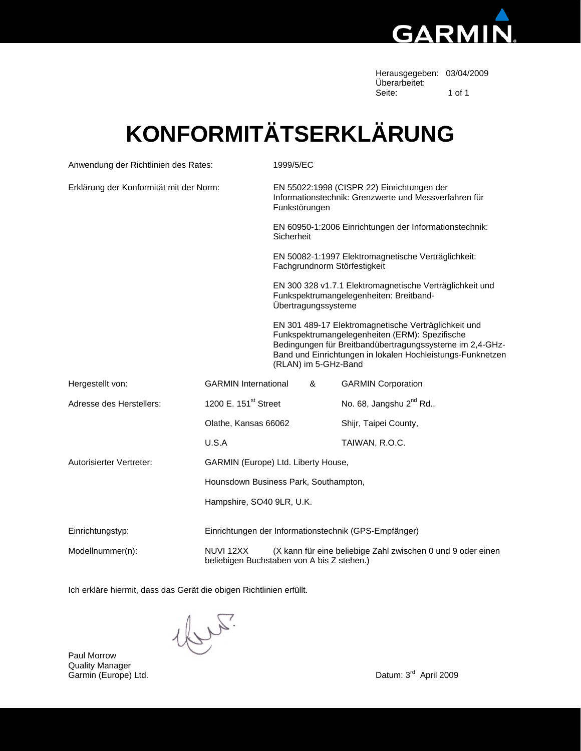

Herausgegeben: 03/04/2009 Überarbeitet:<br>Seite: Seite: 1 of 1

# **KONFORMITÄTSERKLÄRUNG**

| Anwendung der Richtlinien des Rates:    |                                  |                                                                                                                      | 1999/5/EC                                                                                                                                                                                                                                                |  |                                      |  |  |
|-----------------------------------------|----------------------------------|----------------------------------------------------------------------------------------------------------------------|----------------------------------------------------------------------------------------------------------------------------------------------------------------------------------------------------------------------------------------------------------|--|--------------------------------------|--|--|
| Erklärung der Konformität mit der Norm: |                                  | EN 55022:1998 (CISPR 22) Einrichtungen der<br>Informationstechnik: Grenzwerte und Messverfahren für<br>Funkstörungen |                                                                                                                                                                                                                                                          |  |                                      |  |  |
|                                         |                                  |                                                                                                                      | EN 60950-1:2006 Einrichtungen der Informationstechnik:<br>Sicherheit                                                                                                                                                                                     |  |                                      |  |  |
|                                         |                                  |                                                                                                                      | EN 50082-1:1997 Elektromagnetische Verträglichkeit:<br>Fachgrundnorm Störfestigkeit                                                                                                                                                                      |  |                                      |  |  |
|                                         |                                  |                                                                                                                      | EN 300 328 v1.7.1 Elektromagnetische Verträglichkeit und<br>Funkspektrumangelegenheiten: Breitband-<br>Übertragungssysteme                                                                                                                               |  |                                      |  |  |
|                                         |                                  |                                                                                                                      | EN 301 489-17 Elektromagnetische Verträglichkeit und<br>Funkspektrumangelegenheiten (ERM): Spezifische<br>Bedingungen für Breitbandübertragungssysteme im 2,4-GHz-<br>Band und Einrichtungen in lokalen Hochleistungs-Funknetzen<br>(RLAN) im 5-GHz-Band |  |                                      |  |  |
| Hergestellt von:                        | <b>GARMIN</b> International      |                                                                                                                      | &                                                                                                                                                                                                                                                        |  | <b>GARMIN Corporation</b>            |  |  |
| Adresse des Herstellers:                | 1200 E. 151 <sup>st</sup> Street |                                                                                                                      |                                                                                                                                                                                                                                                          |  | No. 68, Jangshu 2 <sup>nd</sup> Rd., |  |  |
|                                         | Olathe, Kansas 66062             |                                                                                                                      |                                                                                                                                                                                                                                                          |  | Shijr, Taipei County,                |  |  |
| U.S.A                                   |                                  |                                                                                                                      |                                                                                                                                                                                                                                                          |  | TAIWAN, R.O.C.                       |  |  |
| Autorisierter Vertreter:                |                                  |                                                                                                                      | GARMIN (Europe) Ltd. Liberty House,                                                                                                                                                                                                                      |  |                                      |  |  |
|                                         |                                  | Hounsdown Business Park, Southampton,                                                                                |                                                                                                                                                                                                                                                          |  |                                      |  |  |
|                                         |                                  | Hampshire, SO40 9LR, U.K.                                                                                            |                                                                                                                                                                                                                                                          |  |                                      |  |  |
| Einrichtungstyp:                        |                                  | Einrichtungen der Informationstechnik (GPS-Empfänger)                                                                |                                                                                                                                                                                                                                                          |  |                                      |  |  |
| Modellnummer(n):                        | NUVI 12XX                        |                                                                                                                      | (X kann für eine beliebige Zahl zwischen 0 und 9 oder einen<br>beliebigen Buchstaben von A bis Z stehen.)                                                                                                                                                |  |                                      |  |  |

Ich erkläre hiermit, dass das Gerät die obigen Richtlinien erfüllt.

 $\text{c}^{\text{th}}$ 

Paul Morrow Quality Manager<br>Garmin (Europe) Ltd.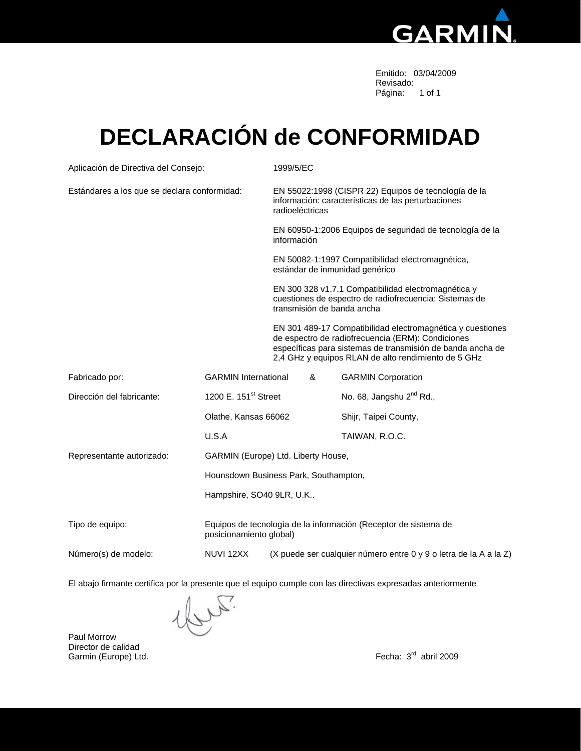

 Emitido: 03/04/2009 Revisado: Página: 1 of 1

## **DECLARACIÓN de CONFORMIDAD**

| Aplicación de Directiva del Consejo:         |                                                                                            | 1999/5/EC                                                                                                                     |                                                                                                                                                                                                                                      |                                      |  |  |  |
|----------------------------------------------|--------------------------------------------------------------------------------------------|-------------------------------------------------------------------------------------------------------------------------------|--------------------------------------------------------------------------------------------------------------------------------------------------------------------------------------------------------------------------------------|--------------------------------------|--|--|--|
| Estándares a los que se declara conformidad: |                                                                                            | EN 55022:1998 (CISPR 22) Equipos de tecnología de la<br>información: características de las perturbaciones<br>radioeléctricas |                                                                                                                                                                                                                                      |                                      |  |  |  |
|                                              |                                                                                            | EN 60950-1:2006 Equipos de seguridad de tecnología de la<br>información                                                       |                                                                                                                                                                                                                                      |                                      |  |  |  |
|                                              |                                                                                            | EN 50082-1:1997 Compatibilidad electromagnética,<br>estándar de inmunidad genérico                                            |                                                                                                                                                                                                                                      |                                      |  |  |  |
|                                              |                                                                                            |                                                                                                                               | EN 300 328 v1.7.1 Compatibilidad electromagnética y<br>cuestiones de espectro de radiofrecuencia: Sistemas de<br>transmisión de banda ancha                                                                                          |                                      |  |  |  |
|                                              |                                                                                            |                                                                                                                               | EN 301 489-17 Compatibilidad electromagnética y cuestiones<br>de espectro de radiofrecuencia (ERM): Condiciones<br>específicas para sistemas de transmisión de banda ancha de<br>2,4 GHz y equipos RLAN de alto rendimiento de 5 GHz |                                      |  |  |  |
| Fabricado por:                               | <b>GARMIN</b> International                                                                |                                                                                                                               | &                                                                                                                                                                                                                                    | <b>GARMIN Corporation</b>            |  |  |  |
| Dirección del fabricante:                    | 1200 E. 151 <sup>st</sup> Street                                                           |                                                                                                                               |                                                                                                                                                                                                                                      | No. 68, Jangshu 2 <sup>nd</sup> Rd., |  |  |  |
|                                              | Olathe, Kansas 66062                                                                       |                                                                                                                               |                                                                                                                                                                                                                                      | Shijr, Taipei County,                |  |  |  |
|                                              | U.S.A                                                                                      |                                                                                                                               |                                                                                                                                                                                                                                      | TAIWAN, R.O.C.                       |  |  |  |
| Representante autorizado:                    | GARMIN (Europe) Ltd. Liberty House,                                                        |                                                                                                                               |                                                                                                                                                                                                                                      |                                      |  |  |  |
|                                              | Hounsdown Business Park, Southampton,                                                      |                                                                                                                               |                                                                                                                                                                                                                                      |                                      |  |  |  |
|                                              | Hampshire, SO40 9LR, U.K                                                                   |                                                                                                                               |                                                                                                                                                                                                                                      |                                      |  |  |  |
| Tipo de equipo:                              | Equipos de tecnología de la información (Receptor de sistema de<br>posicionamiento global) |                                                                                                                               |                                                                                                                                                                                                                                      |                                      |  |  |  |
| Número(s) de modelo:                         | NUVI 12XX                                                                                  | (X puede ser cualquier número entre 0 y 9 o letra de la A a la Z)                                                             |                                                                                                                                                                                                                                      |                                      |  |  |  |

El abajo firmante certifica por la presente que el equipo cumple con las directivas expresadas anteriormente

Paul Morrow Director de calidad Garmin (Europe) Ltd. Fecha: 3<sup>rd</sup> abril 2009